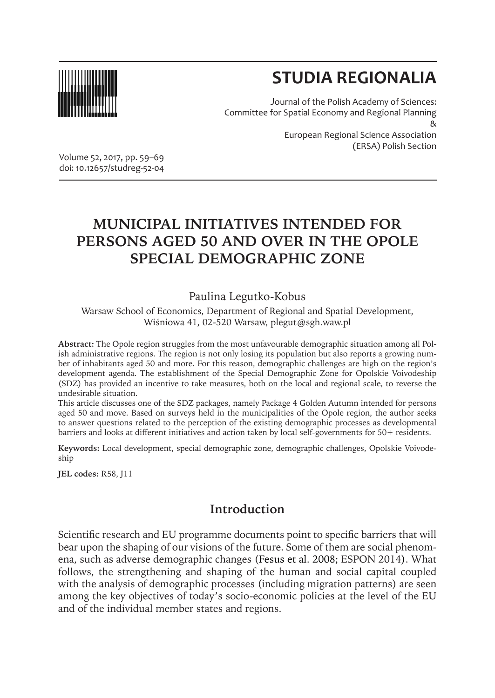

# **STUDIA REGIONALIA**

Journal of the Polish Academy of Sciences: Committee for Spatial Economy and Regional Planning & European Regional Science Association (ERSA) Polish Section

Volume 52, 2017, pp. 59–69 doi: 10.12657/studreg-52-04

## **MUNICIPAL INITIATIVES INTENDED FOR PERSONS AGED 50 AND OVER IN THE OPOLE SPECIAL DEMOGRAPHIC ZONE**

#### Paulina Legutko-Kobus

Warsaw School of Economics, Department of Regional and Spatial Development, Wiśniowa 41, 02-520 Warsaw, plegut@sgh.waw.pl

**Abstract:** The Opole region struggles from the most unfavourable demographic situation among all Polish administrative regions. The region is not only losing its population but also reports a growing number of inhabitants aged 50 and more. For this reason, demographic challenges are high on the region's development agenda. The establishment of the Special Demographic Zone for Opolskie Voivodeship (SDZ) has provided an incentive to take measures, both on the local and regional scale, to reverse the undesirable situation.

This article discusses one of the SDZ packages, namely Package 4 Golden Autumn intended for persons aged 50 and move. Based on surveys held in the municipalities of the Opole region, the author seeks to answer questions related to the perception of the existing demographic processes as developmental barriers and looks at different initiatives and action taken by local self-governments for 50+ residents.

**Keywords:** Local development, special demographic zone, demographic challenges, Opolskie Voivodeship

**JEL codes:** R58, J11

### **Introduction**

Scientific research and EU programme documents point to specific barriers that will bear upon the shaping of our visions of the future. Some of them are social phenomena, such as adverse demographic changes (Fesus et al. 2008; ESPON 2014). What follows, the strengthening and shaping of the human and social capital coupled with the analysis of demographic processes (including migration patterns) are seen among the key objectives of today's socio-economic policies at the level of the EU and of the individual member states and regions.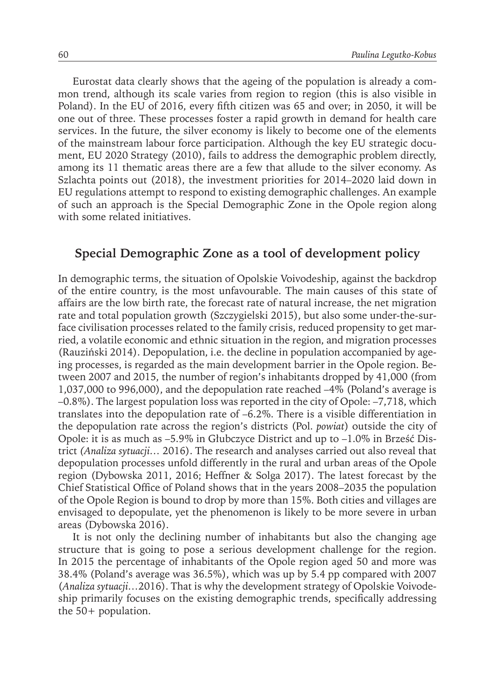Eurostat data clearly shows that the ageing of the population is already a common trend, although its scale varies from region to region (this is also visible in Poland). In the EU of 2016, every fifth citizen was 65 and over; in 2050, it will be one out of three. These processes foster a rapid growth in demand for health care services. In the future, the silver economy is likely to become one of the elements of the mainstream labour force participation. Although the key EU strategic document, EU 2020 Strategy (2010), fails to address the demographic problem directly, among its 11 thematic areas there are a few that allude to the silver economy. As Szlachta points out (2018), the investment priorities for 2014–2020 laid down in EU regulations attempt to respond to existing demographic challenges. An example of such an approach is the Special Demographic Zone in the Opole region along with some related initiatives.

#### **Special Demographic Zone as a tool of development policy**

In demographic terms, the situation of Opolskie Voivodeship, against the backdrop of the entire country, is the most unfavourable. The main causes of this state of affairs are the low birth rate, the forecast rate of natural increase, the net migration rate and total population growth (Szczygielski 2015), but also some under-the-surface civilisation processes related to the family crisis, reduced propensity to get married, a volatile economic and ethnic situation in the region, and migration processes (Rauziński 2014). Depopulation, i.e. the decline in population accompanied by ageing processes, is regarded as the main development barrier in the Opole region. Between 2007 and 2015, the number of region's inhabitants dropped by 41,000 (from 1,037,000 to 996,000), and the depopulation rate reached –4% (Poland's average is –0.8%). The largest population loss was reported in the city of Opole: –7,718, which translates into the depopulation rate of –6.2%. There is a visible differentiation in the depopulation rate across the region's districts (Pol. *powiat*) outside the city of Opole: it is as much as –5.9% in Głubczyce District and up to –1.0% in Brześć District *(Analiza sytuacji…* 2016). The research and analyses carried out also reveal that depopulation processes unfold differently in the rural and urban areas of the Opole region (Dybowska 2011, 2016; Heffner & Solga 2017). The latest forecast by the Chief Statistical Office of Poland shows that in the years 2008–2035 the population of the Opole Region is bound to drop by more than 15%. Both cities and villages are envisaged to depopulate, yet the phenomenon is likely to be more severe in urban areas (Dybowska 2016).

It is not only the declining number of inhabitants but also the changing age structure that is going to pose a serious development challenge for the region. In 2015 the percentage of inhabitants of the Opole region aged 50 and more was 38.4% (Poland's average was 36.5%), which was up by 5.4 pp compared with 2007 (*Analiza sytuacji…*2016). That is why the development strategy of Opolskie Voivodeship primarily focuses on the existing demographic trends, specifically addressing the 50+ population.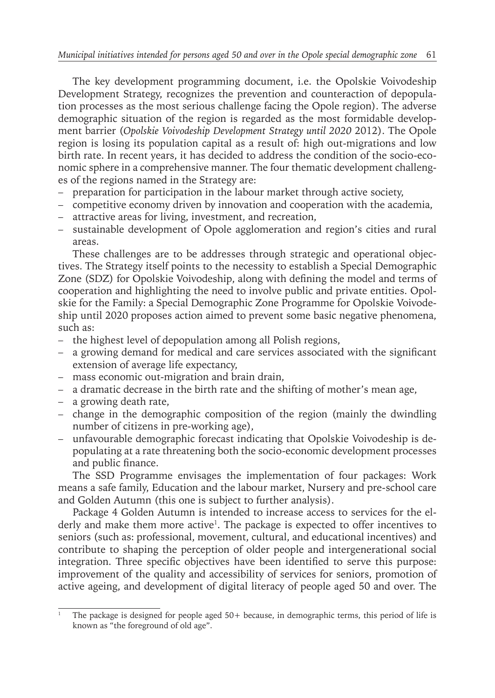The key development programming document, i.e. the Opolskie Voivodeship Development Strategy, recognizes the prevention and counteraction of depopulation processes as the most serious challenge facing the Opole region). The adverse demographic situation of the region is regarded as the most formidable development barrier (*Opolskie Voivodeship Development Strategy until 2020* 2012). The Opole region is losing its population capital as a result of: high out-migrations and low birth rate. In recent years, it has decided to address the condition of the socio-economic sphere in a comprehensive manner. The four thematic development challenges of the regions named in the Strategy are:

- preparation for participation in the labour market through active society,
- competitive economy driven by innovation and cooperation with the academia,
- attractive areas for living, investment, and recreation,
- sustainable development of Opole agglomeration and region's cities and rural areas.

These challenges are to be addresses through strategic and operational objectives. The Strategy itself points to the necessity to establish a Special Demographic Zone (SDZ) for Opolskie Voivodeship, along with defining the model and terms of cooperation and highlighting the need to involve public and private entities. Opolskie for the Family: a Special Demographic Zone Programme for Opolskie Voivodeship until 2020 proposes action aimed to prevent some basic negative phenomena, such as:

- the highest level of depopulation among all Polish regions,
- a growing demand for medical and care services associated with the significant extension of average life expectancy,
- mass economic out-migration and brain drain,
- a dramatic decrease in the birth rate and the shifting of mother's mean age,
- a growing death rate,
- change in the demographic composition of the region (mainly the dwindling number of citizens in pre-working age),
- unfavourable demographic forecast indicating that Opolskie Voivodeship is depopulating at a rate threatening both the socio-economic development processes and public finance.

The SSD Programme envisages the implementation of four packages: Work means a safe family, Education and the labour market, Nursery and pre-school care and Golden Autumn (this one is subject to further analysis).

Package 4 Golden Autumn is intended to increase access to services for the elderly and make them more active<sup>1</sup>. The package is expected to offer incentives to seniors (such as: professional, movement, cultural, and educational incentives) and contribute to shaping the perception of older people and intergenerational social integration. Three specific objectives have been identified to serve this purpose: improvement of the quality and accessibility of services for seniors, promotion of active ageing, and development of digital literacy of people aged 50 and over. The

<sup>1</sup> The package is designed for people aged 50+ because, in demographic terms, this period of life is known as "the foreground of old age".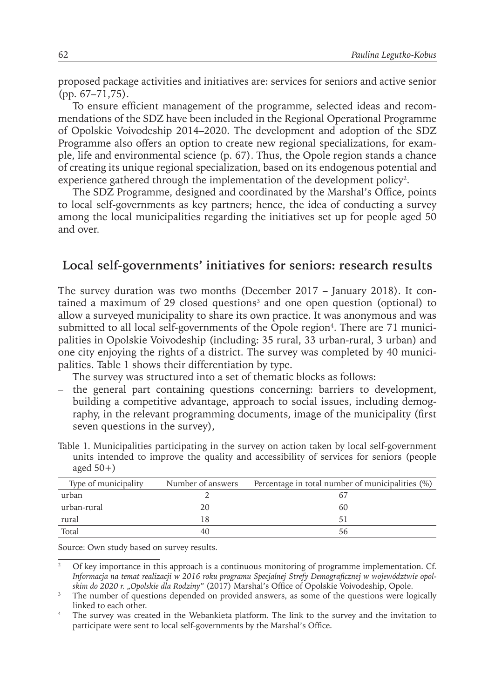proposed package activities and initiatives are: services for seniors and active senior (pp. 67–71,75).

To ensure efficient management of the programme, selected ideas and recommendations of the SDZ have been included in the Regional Operational Programme of Opolskie Voivodeship 2014–2020. The development and adoption of the SDZ Programme also offers an option to create new regional specializations, for example, life and environmental science (p. 67). Thus, the Opole region stands a chance of creating its unique regional specialization, based on its endogenous potential and experience gathered through the implementation of the development policy<sup>2</sup>.

The SDZ Programme, designed and coordinated by the Marshal's Office, points to local self-governments as key partners; hence, the idea of conducting a survey among the local municipalities regarding the initiatives set up for people aged 50 and over.

#### **Local self-governments' initiatives for seniors: research results**

The survey duration was two months (December 2017 – January 2018). It contained a maximum of 29 closed questions<sup>3</sup> and one open question (optional) to allow a surveyed municipality to share its own practice. It was anonymous and was submitted to all local self-governments of the Opole region<sup>4</sup> . There are 71 municipalities in Opolskie Voivodeship (including: 35 rural, 33 urban-rural, 3 urban) and one city enjoying the rights of a district. The survey was completed by 40 municipalities. Table 1 shows their differentiation by type.

The survey was structured into a set of thematic blocks as follows:

– the general part containing questions concerning: barriers to development, building a competitive advantage, approach to social issues, including demography, in the relevant programming documents, image of the municipality (first seven questions in the survey),

| Table 1. Municipalities participating in the survey on action taken by local self-government |  |
|----------------------------------------------------------------------------------------------|--|
| units intended to improve the quality and accessibility of services for seniors (people      |  |
| aged $50+$ )                                                                                 |  |

| Type of municipality | Number of answers | Percentage in total number of municipalities (%) |
|----------------------|-------------------|--------------------------------------------------|
| urban                |                   | 6.                                               |
| urban-rural          | 20                | 60                                               |
| rural                |                   | 51                                               |
| Total                |                   | 56                                               |

Source: Own study based on survey results.

<sup>&</sup>lt;sup>2</sup> Of key importance in this approach is a continuous monitoring of programme implementation. Cf. *Informacja na temat realizacji w 2016 roku programu Specjalnej Strefy Demograficznej w województwie opolskim do 2020 r. "Opolskie dla Rodziny"* (2017) Marshal's Office of Opolskie Voivodeship, Opole.

<sup>&</sup>lt;sup>3</sup> The number of questions depended on provided answers, as some of the questions were logically linked to each other.

<sup>4</sup> The survey was created in the Webankieta platform. The link to the survey and the invitation to participate were sent to local self-governments by the Marshal's Office.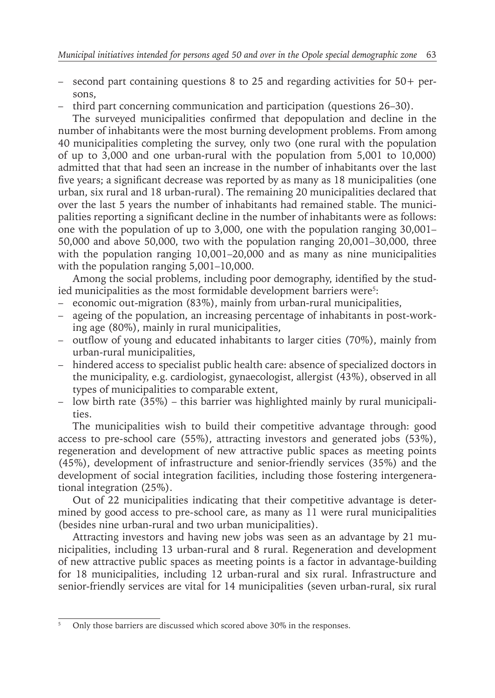- second part containing questions 8 to 25 and regarding activities for 50+ persons,
- third part concerning communication and participation (questions 26–30).

The surveyed municipalities confirmed that depopulation and decline in the number of inhabitants were the most burning development problems. From among 40 municipalities completing the survey, only two (one rural with the population of up to 3,000 and one urban-rural with the population from 5,001 to 10,000) admitted that that had seen an increase in the number of inhabitants over the last five years; a significant decrease was reported by as many as 18 municipalities (one urban, six rural and 18 urban-rural). The remaining 20 municipalities declared that over the last 5 years the number of inhabitants had remained stable. The municipalities reporting a significant decline in the number of inhabitants were as follows: one with the population of up to 3,000, one with the population ranging 30,001– 50,000 and above 50,000, two with the population ranging 20,001–30,000, three with the population ranging 10,001–20,000 and as many as nine municipalities with the population ranging 5,001–10,000.

Among the social problems, including poor demography, identified by the studied municipalities as the most formidable development barriers were $^{\mathfrak{s}}$ :

- economic out-migration (83%), mainly from urban-rural municipalities,
- ageing of the population, an increasing percentage of inhabitants in post-working age (80%), mainly in rural municipalities,
- outflow of young and educated inhabitants to larger cities (70%), mainly from urban-rural municipalities,
- hindered access to specialist public health care: absence of specialized doctors in the municipality, e.g. cardiologist, gynaecologist, allergist (43%), observed in all types of municipalities to comparable extent,
- low birth rate (35%) this barrier was highlighted mainly by rural municipalities.

The municipalities wish to build their competitive advantage through: good access to pre-school care (55%), attracting investors and generated jobs (53%), regeneration and development of new attractive public spaces as meeting points (45%), development of infrastructure and senior-friendly services (35%) and the development of social integration facilities, including those fostering intergenerational integration (25%).

Out of 22 municipalities indicating that their competitive advantage is determined by good access to pre-school care, as many as 11 were rural municipalities (besides nine urban-rural and two urban municipalities).

Attracting investors and having new jobs was seen as an advantage by 21 municipalities, including 13 urban-rural and 8 rural. Regeneration and development of new attractive public spaces as meeting points is a factor in advantage-building for 18 municipalities, including 12 urban-rural and six rural. Infrastructure and senior-friendly services are vital for 14 municipalities (seven urban-rural, six rural

<sup>5</sup> Only those barriers are discussed which scored above 30% in the responses.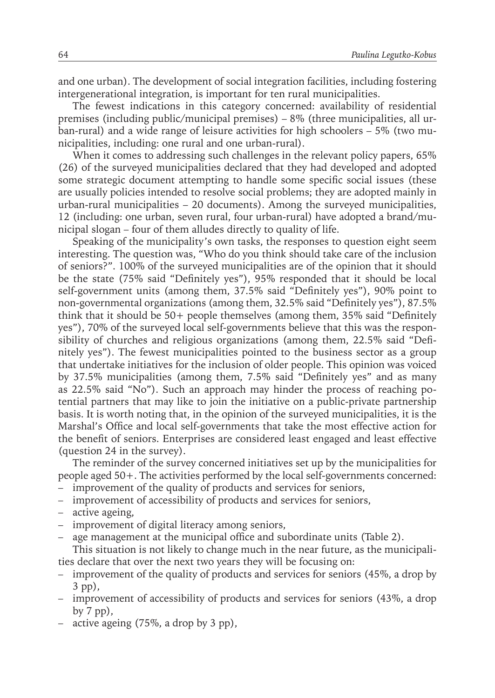and one urban). The development of social integration facilities, including fostering intergenerational integration, is important for ten rural municipalities.

The fewest indications in this category concerned: availability of residential premises (including public/municipal premises) – 8% (three municipalities, all urban-rural) and a wide range of leisure activities for high schoolers – 5% (two municipalities, including: one rural and one urban-rural).

When it comes to addressing such challenges in the relevant policy papers, 65% (26) of the surveyed municipalities declared that they had developed and adopted some strategic document attempting to handle some specific social issues (these are usually policies intended to resolve social problems; they are adopted mainly in urban-rural municipalities – 20 documents). Among the surveyed municipalities, 12 (including: one urban, seven rural, four urban-rural) have adopted a brand/municipal slogan – four of them alludes directly to quality of life.

Speaking of the municipality's own tasks, the responses to question eight seem interesting. The question was, "Who do you think should take care of the inclusion of seniors?". 100% of the surveyed municipalities are of the opinion that it should be the state (75% said "Definitely yes"), 95% responded that it should be local self-government units (among them, 37.5% said "Definitely yes"), 90% point to non-governmental organizations (among them, 32.5% said "Definitely yes"), 87.5% think that it should be 50+ people themselves (among them, 35% said "Definitely yes"), 70% of the surveyed local self-governments believe that this was the responsibility of churches and religious organizations (among them, 22.5% said "Definitely yes"). The fewest municipalities pointed to the business sector as a group that undertake initiatives for the inclusion of older people. This opinion was voiced by 37.5% municipalities (among them, 7.5% said "Definitely yes" and as many as 22.5% said "No"). Such an approach may hinder the process of reaching potential partners that may like to join the initiative on a public-private partnership basis. It is worth noting that, in the opinion of the surveyed municipalities, it is the Marshal's Office and local self-governments that take the most effective action for the benefit of seniors. Enterprises are considered least engaged and least effective (question 24 in the survey).

The reminder of the survey concerned initiatives set up by the municipalities for people aged 50+. The activities performed by the local self-governments concerned:

- improvement of the quality of products and services for seniors,
- improvement of accessibility of products and services for seniors,
- active ageing,
- improvement of digital literacy among seniors,
- age management at the municipal office and subordinate units (Table 2).

This situation is not likely to change much in the near future, as the municipalities declare that over the next two years they will be focusing on:

- improvement of the quality of products and services for seniors (45%, a drop by 3 pp),
- improvement of accessibility of products and services for seniors (43%, a drop by 7 pp),
- active ageing (75%, a drop by 3 pp),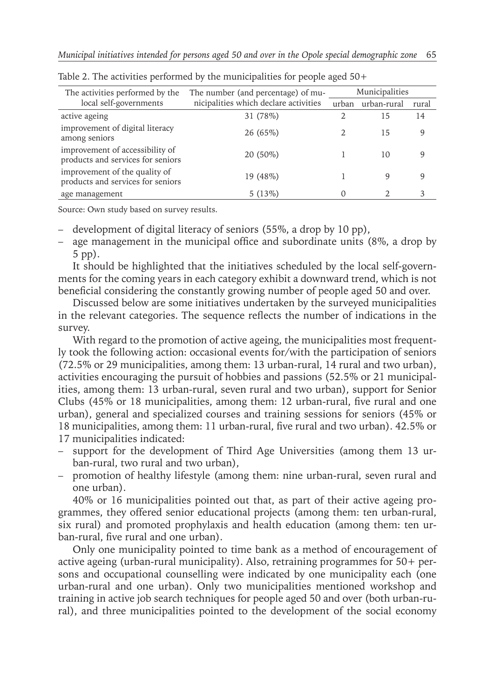| The activities performed by the                                      | The number (and percentage) of mu-<br>nicipalities which declare activities | Municipalities |             |       |
|----------------------------------------------------------------------|-----------------------------------------------------------------------------|----------------|-------------|-------|
| local self-governments                                               |                                                                             | urban          | urban-rural | rural |
| active ageing                                                        | 31 (78%)                                                                    |                | 15          | 14    |
| improvement of digital literacy<br>among seniors                     | 26 (65%)                                                                    |                | 15          | 9     |
| improvement of accessibility of<br>products and services for seniors | 20 (50%)                                                                    |                | 10          | q     |
| improvement of the quality of<br>products and services for seniors   | 19 (48%)                                                                    |                | 9           | 9     |
| age management                                                       | 5(13%)                                                                      | 0              |             | 3     |

Table 2. The activities performed by the municipalities for people aged 50+

Source: Own study based on survey results.

- development of digital literacy of seniors (55%, a drop by 10 pp),
- age management in the municipal office and subordinate units (8%, a drop by 5 pp).

It should be highlighted that the initiatives scheduled by the local self-governments for the coming years in each category exhibit a downward trend, which is not beneficial considering the constantly growing number of people aged 50 and over.

Discussed below are some initiatives undertaken by the surveyed municipalities in the relevant categories. The sequence reflects the number of indications in the survey.

With regard to the promotion of active ageing, the municipalities most frequently took the following action: occasional events for/with the participation of seniors (72.5% or 29 municipalities, among them: 13 urban-rural, 14 rural and two urban), activities encouraging the pursuit of hobbies and passions (52.5% or 21 municipalities, among them: 13 urban-rural, seven rural and two urban), support for Senior Clubs (45% or 18 municipalities, among them: 12 urban-rural, five rural and one urban), general and specialized courses and training sessions for seniors (45% or 18 municipalities, among them: 11 urban-rural, five rural and two urban). 42.5% or 17 municipalities indicated:

- support for the development of Third Age Universities (among them 13 urban-rural, two rural and two urban),
- promotion of healthy lifestyle (among them: nine urban-rural, seven rural and one urban).

40% or 16 municipalities pointed out that, as part of their active ageing programmes, they offered senior educational projects (among them: ten urban-rural, six rural) and promoted prophylaxis and health education (among them: ten urban-rural, five rural and one urban).

Only one municipality pointed to time bank as a method of encouragement of active ageing (urban-rural municipality). Also, retraining programmes for 50+ persons and occupational counselling were indicated by one municipality each (one urban-rural and one urban). Only two municipalities mentioned workshop and training in active job search techniques for people aged 50 and over (both urban-rural), and three municipalities pointed to the development of the social economy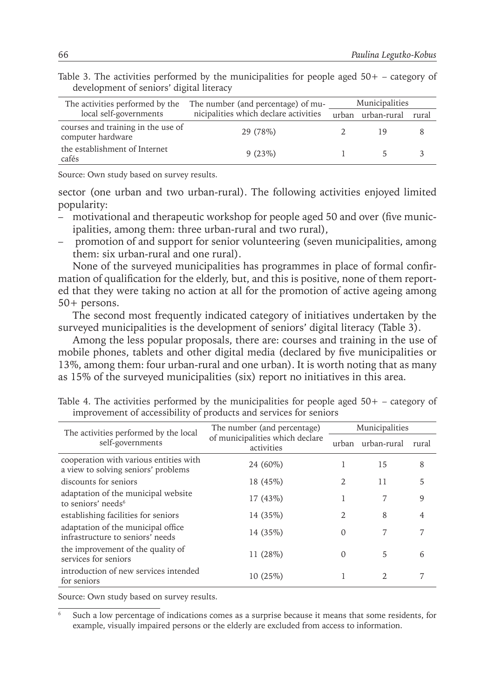| The activities performed by the                         | The number (and percentage) of mu-    | Municipalities |             |       |  |
|---------------------------------------------------------|---------------------------------------|----------------|-------------|-------|--|
| local self-governments                                  | nicipalities which declare activities | urban          | urban-rural | rural |  |
| courses and training in the use of<br>computer hardware | 29 (78%)                              |                | 19          |       |  |
| the establishment of Internet<br>cafés                  | 9(23%)                                |                |             |       |  |

Table 3. The activities performed by the municipalities for people aged  $50+$  – category of development of seniors' digital literacy

Source: Own study based on survey results.

sector (one urban and two urban-rural). The following activities enjoyed limited popularity:

- motivational and therapeutic workshop for people aged 50 and over (five municipalities, among them: three urban-rural and two rural),
- promotion of and support for senior volunteering (seven municipalities, among them: six urban-rural and one rural).

None of the surveyed municipalities has programmes in place of formal confirmation of qualification for the elderly, but, and this is positive, none of them reported that they were taking no action at all for the promotion of active ageing among 50+ persons.

The second most frequently indicated category of initiatives undertaken by the surveyed municipalities is the development of seniors' digital literacy (Table 3).

Among the less popular proposals, there are: courses and training in the use of mobile phones, tablets and other digital media (declared by five municipalities or 13%, among them: four urban-rural and one urban). It is worth noting that as many as 15% of the surveyed municipalities (six) report no initiatives in this area.

| The activities performed by the local<br>self-governments                     | The number (and percentage)                   | Municipalities |                             |       |  |
|-------------------------------------------------------------------------------|-----------------------------------------------|----------------|-----------------------------|-------|--|
|                                                                               | of municipalities which declare<br>activities |                | urban urban-rural           | rural |  |
| cooperation with various entities with<br>a view to solving seniors' problems | 24 (60%)                                      |                | 15                          | 8     |  |
| discounts for seniors                                                         | 18 (45%)                                      | 2              | 11                          | 5     |  |
| adaptation of the municipal website<br>to seniors' needs <sup>6</sup>         | 17 (43%)                                      |                | 7                           | 9     |  |
| establishing facilities for seniors                                           | 14 (35%)                                      | 2              | 8                           | 4     |  |
| adaptation of the municipal office<br>infrastructure to seniors' needs        | 14 (35%)                                      | $\Omega$       | 7                           | 7     |  |
| the improvement of the quality of<br>services for seniors                     | 11 (28%)                                      | $\Omega$       | 5                           | 6     |  |
| introduction of new services intended<br>for seniors                          | 10(25%)                                       | 1              | $\mathcal{D}_{\mathcal{L}}$ |       |  |

Table 4. The activities performed by the municipalities for people aged 50+ – category of improvement of accessibility of products and services for seniors

Source: Own study based on survey results.

<sup>6</sup> Such a low percentage of indications comes as a surprise because it means that some residents, for example, visually impaired persons or the elderly are excluded from access to information.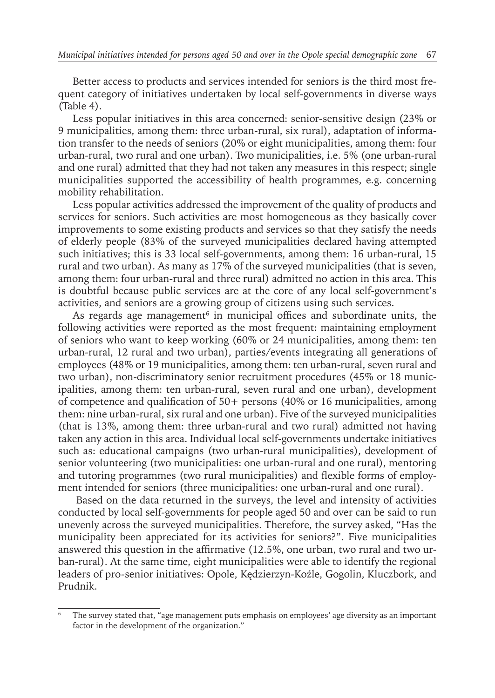Better access to products and services intended for seniors is the third most frequent category of initiatives undertaken by local self-governments in diverse ways (Table 4).

Less popular initiatives in this area concerned: senior-sensitive design (23% or 9 municipalities, among them: three urban-rural, six rural), adaptation of information transfer to the needs of seniors (20% or eight municipalities, among them: four urban-rural, two rural and one urban). Two municipalities, i.e. 5% (one urban-rural and one rural) admitted that they had not taken any measures in this respect; single municipalities supported the accessibility of health programmes, e.g. concerning mobility rehabilitation.

Less popular activities addressed the improvement of the quality of products and services for seniors. Such activities are most homogeneous as they basically cover improvements to some existing products and services so that they satisfy the needs of elderly people (83% of the surveyed municipalities declared having attempted such initiatives; this is 33 local self-governments, among them: 16 urban-rural, 15 rural and two urban). As many as 17% of the surveyed municipalities (that is seven, among them: four urban-rural and three rural) admitted no action in this area. This is doubtful because public services are at the core of any local self-government's activities, and seniors are a growing group of citizens using such services.

As regards age management $^{\rm 6}$  in municipal offices and subordinate units, the following activities were reported as the most frequent: maintaining employment of seniors who want to keep working (60% or 24 municipalities, among them: ten urban-rural, 12 rural and two urban), parties/events integrating all generations of employees (48% or 19 municipalities, among them: ten urban-rural, seven rural and two urban), non-discriminatory senior recruitment procedures (45% or 18 municipalities, among them: ten urban-rural, seven rural and one urban), development of competence and qualification of 50+ persons (40% or 16 municipalities, among them: nine urban-rural, six rural and one urban). Five of the surveyed municipalities (that is 13%, among them: three urban-rural and two rural) admitted not having taken any action in this area. Individual local self-governments undertake initiatives such as: educational campaigns (two urban-rural municipalities), development of senior volunteering (two municipalities: one urban-rural and one rural), mentoring and tutoring programmes (two rural municipalities) and flexible forms of employment intended for seniors (three municipalities: one urban-rural and one rural).

 Based on the data returned in the surveys, the level and intensity of activities conducted by local self-governments for people aged 50 and over can be said to run unevenly across the surveyed municipalities. Therefore, the survey asked, "Has the municipality been appreciated for its activities for seniors?". Five municipalities answered this question in the affirmative (12.5%, one urban, two rural and two urban-rural). At the same time, eight municipalities were able to identify the regional leaders of pro-senior initiatives: Opole, Kędzierzyn-Koźle, Gogolin, Kluczbork, and Prudnik.

The survey stated that, "age management puts emphasis on employees' age diversity as an important factor in the development of the organization."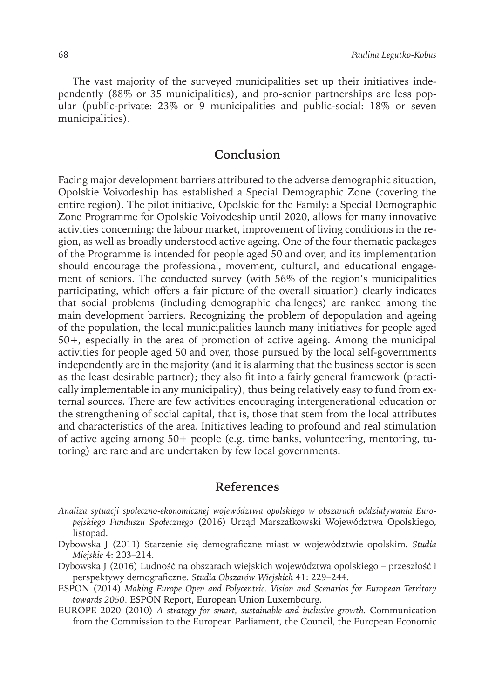The vast majority of the surveyed municipalities set up their initiatives independently (88% or 35 municipalities), and pro-senior partnerships are less popular (public-private: 23% or 9 municipalities and public-social: 18% or seven municipalities).

#### **Conclusion**

Facing major development barriers attributed to the adverse demographic situation, Opolskie Voivodeship has established a Special Demographic Zone (covering the entire region). The pilot initiative, Opolskie for the Family: a Special Demographic Zone Programme for Opolskie Voivodeship until 2020, allows for many innovative activities concerning: the labour market, improvement of living conditions in the region, as well as broadly understood active ageing. One of the four thematic packages of the Programme is intended for people aged 50 and over, and its implementation should encourage the professional, movement, cultural, and educational engagement of seniors. The conducted survey (with 56% of the region's municipalities participating, which offers a fair picture of the overall situation) clearly indicates that social problems (including demographic challenges) are ranked among the main development barriers. Recognizing the problem of depopulation and ageing of the population, the local municipalities launch many initiatives for people aged 50+, especially in the area of promotion of active ageing. Among the municipal activities for people aged 50 and over, those pursued by the local self-governments independently are in the majority (and it is alarming that the business sector is seen as the least desirable partner); they also fit into a fairly general framework (practically implementable in any municipality), thus being relatively easy to fund from external sources. There are few activities encouraging intergenerational education or the strengthening of social capital, that is, those that stem from the local attributes and characteristics of the area. Initiatives leading to profound and real stimulation of active ageing among 50+ people (e.g. time banks, volunteering, mentoring, tutoring) are rare and are undertaken by few local governments.

#### **References**

- *Analiza sytuacji społeczno-ekonomicznej województwa opolskiego w obszarach oddziaływania Europejskiego Funduszu Społecznego* (2016) Urząd Marszałkowski Województwa Opolskiego, listopad.
- Dybowska J (2011) Starzenie się demograficzne miast w województwie opolskim*. Studia Miejskie* 4: 203–214.
- Dybowska J (2016) Ludność na obszarach wiejskich województwa opolskiego przeszłość i perspektywy demograficzne*. Studia Obszarów Wiejskich* 41: 229–244.
- ESPON (2014) *Making Europe Open and Polycentric. Vision and Scenarios for European Territory towards 2050*. ESPON Report, European Union Luxembourg.
- EUROPE 2020 (2010) *A strategy for smart, sustainable and inclusive growth.* Communication from the Commission to the European Parliament, the Council, the European Economic